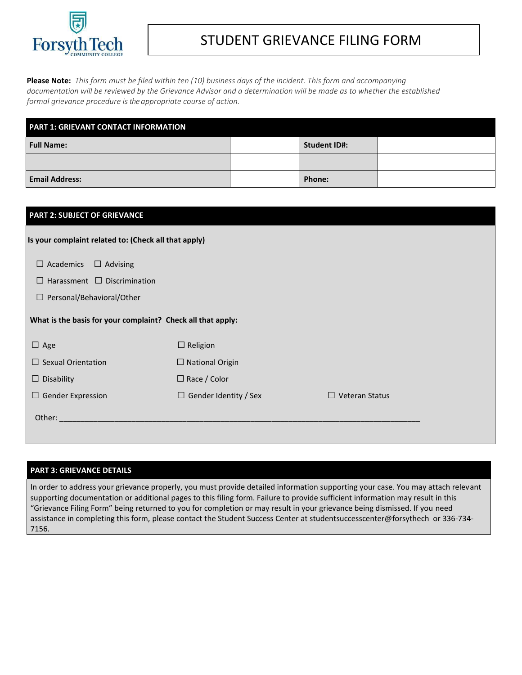

# Forsyth Tech | STUDENT GRIEVANCE FILING FORM

**Please Note:** *This form must be filed within ten (10) business days of the incident. This form and accompanying documentation will be reviewed by the Grievance Advisor and a determination will be made as to whether the established formal grievance procedure isthe appropriate course of action.*

| <b>PART 1: GRIEVANT CONTACT INFORMATION</b> |  |                     |  |  |
|---------------------------------------------|--|---------------------|--|--|
| Full Name:                                  |  | <b>Student ID#:</b> |  |  |
|                                             |  |                     |  |  |
| <b>Email Address:</b>                       |  | Phone:              |  |  |

| <b>PART 2: SUBJECT OF GRIEVANCE</b>                         |                              |                                 |  |
|-------------------------------------------------------------|------------------------------|---------------------------------|--|
| Is your complaint related to: (Check all that apply)        |                              |                                 |  |
| $\Box$ Academics<br>$\Box$ Advising                         |                              |                                 |  |
| $\Box$ Harassment $\Box$ Discrimination                     |                              |                                 |  |
| $\Box$ Personal/Behavioral/Other                            |                              |                                 |  |
| What is the basis for your complaint? Check all that apply: |                              |                                 |  |
| $\Box$ Age                                                  | $\Box$ Religion              |                                 |  |
| $\Box$ Sexual Orientation                                   | $\Box$ National Origin       |                                 |  |
| $\Box$ Disability                                           | $\Box$ Race / Color          |                                 |  |
| $\Box$ Gender Expression                                    | $\Box$ Gender Identity / Sex | <b>Veteran Status</b><br>$\Box$ |  |
| Other:                                                      |                              |                                 |  |

## **PART 3: GRIEVANCE DETAILS**

In order to address your grievance properly, you must provide detailed information supporting your case. You may attach relevant supporting documentation or additional pages to this filing form. Failure to provide sufficient information may result in this "Grievance Filing Form" being returned to you for completion or may result in your grievance being dismissed. If you need assistance in completing this form, please contact the Student Success Center at studentsuccesscenter@forsythech or 336-734- 7156.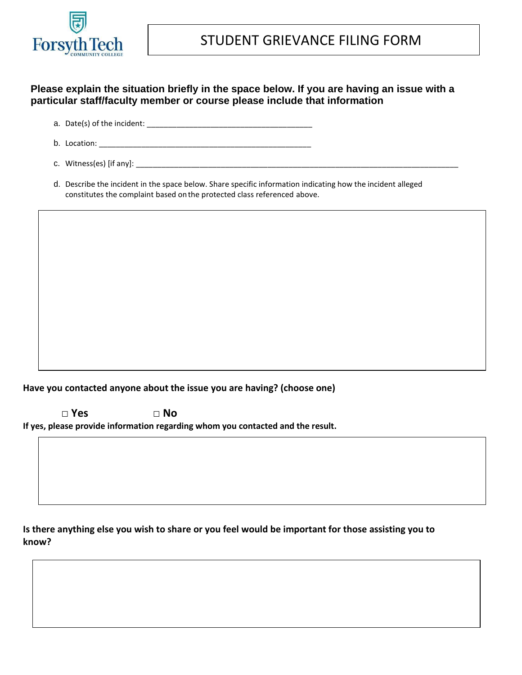

# **Please explain the situation briefly in the space below. If you are having an issue with a particular staff/faculty member or course please include that information**

- a. Date(s) of the incident: \_\_\_\_\_\_\_\_\_\_\_\_\_\_\_\_\_\_\_\_\_\_\_\_\_\_\_\_\_\_\_\_\_\_\_\_\_\_\_
- b. Location:  $\Box$
- c. Witness(es) [if any]: \_\_\_\_\_\_\_\_\_\_\_\_\_\_\_\_\_\_\_\_\_\_\_\_\_\_\_\_\_\_\_\_\_\_\_\_\_\_\_\_\_\_\_\_\_\_\_\_\_\_\_\_\_\_\_\_\_\_\_\_\_\_\_\_\_\_\_\_\_\_\_\_\_\_\_\_
- d. Describe the incident in the space below. Share specific information indicating how the incident alleged constitutes the complaint based onthe protected class referenced above.

**Have you contacted anyone about the issue you are having? (choose one)**

**□ Yes □ No If yes, please provide information regarding whom you contacted and the result.**

**Is there anything else you wish to share or you feel would be important for those assisting you to know?**